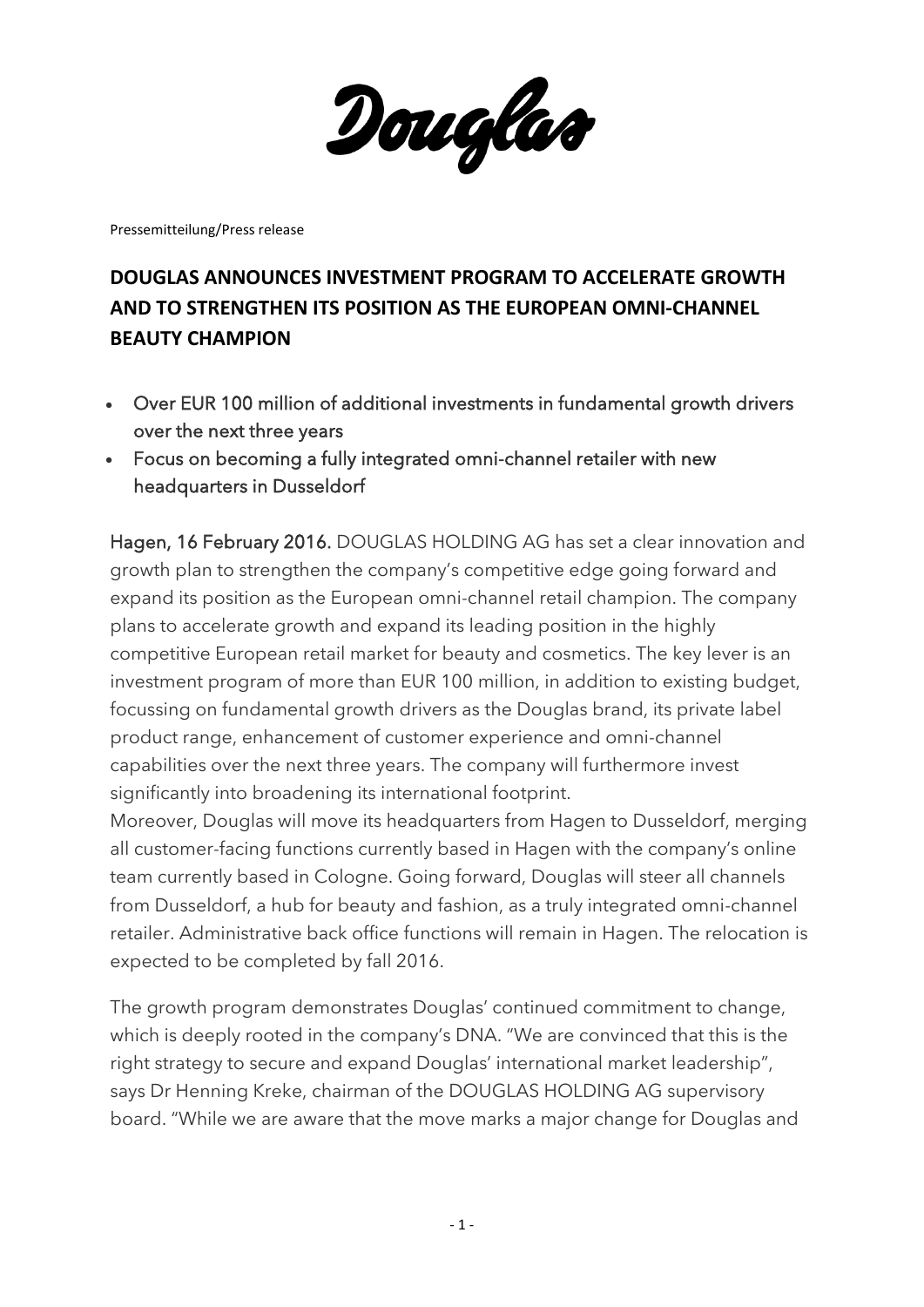Douglas

Pressemitteilung/Press release

## **DOUGLAS ANNOUNCES INVESTMENT PROGRAM TO ACCELERATE GROWTH AND TO STRENGTHEN ITS POSITION AS THE EUROPEAN OMNI-CHANNEL BEAUTY CHAMPION**

- Over EUR 100 million of additional investments in fundamental growth drivers over the next three years
- Focus on becoming a fully integrated omni-channel retailer with new headquarters in Dusseldorf

Hagen, 16 February 2016. DOUGLAS HOLDING AG has set a clear innovation and growth plan to strengthen the company's competitive edge going forward and expand its position as the European omni-channel retail champion. The company plans to accelerate growth and expand its leading position in the highly competitive European retail market for beauty and cosmetics. The key lever is an investment program of more than EUR 100 million, in addition to existing budget, focussing on fundamental growth drivers as the Douglas brand, its private label product range, enhancement of customer experience and omni-channel capabilities over the next three years. The company will furthermore invest significantly into broadening its international footprint.

Moreover, Douglas will move its headquarters from Hagen to Dusseldorf, merging all customer-facing functions currently based in Hagen with the company's online team currently based in Cologne. Going forward, Douglas will steer all channels from Dusseldorf, a hub for beauty and fashion, as a truly integrated omni-channel retailer. Administrative back office functions will remain in Hagen. The relocation is expected to be completed by fall 2016.

The growth program demonstrates Douglas' continued commitment to change, which is deeply rooted in the company's DNA. "We are convinced that this is the right strategy to secure and expand Douglas' international market leadership", says Dr Henning Kreke, chairman of the DOUGLAS HOLDING AG supervisory board. "While we are aware that the move marks a major change for Douglas and